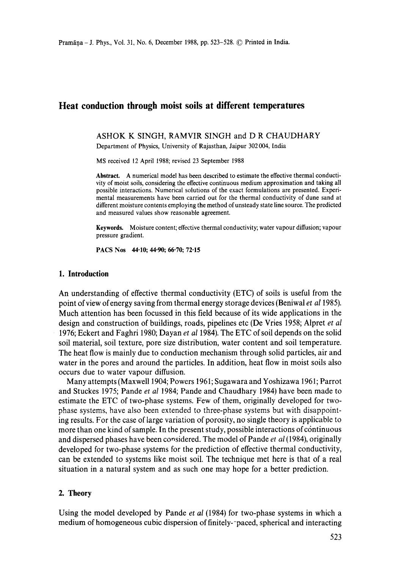# **Heat conduction through moist soils at different temperatures**

#### ASHOK K SINGH, RAMVIR SINGH and D R CHAUDHARY

Department of Physics, University of Rajasthan, Jaipur 302004, India

MS received 12 April 1988; revised 23 September 1988

**Abstract.** A numerical model has been described to estimate the effective thermal conductivity of moist soils, considering the effective continuous medium approximation and taking all possible interactions. Numerical solutions of the exact formulations are presented. Experimental measurements have been carried out for the thermal conductivity of dune sand at different moisture contents employing the method of unsteady state line source. The predicted and measured values show reasonable agreement.

**Keywords.** Moisture content; effective thermal conductivity; water vapour diffusion; vapour pressure gradient.

**PACS Nos 44.10; 44.90; 66.70; 72.15** 

## **1. Introduction**

An understanding of effective thermal conductivity (ETC) of soils is useful from the point of view of energy saving from thermal energy storage devices (Beniwal *et al* 1985). Much attention has been focussed in this field because of its wide applications in the design and construction of buildings, roads, pipelines etc (De Vries 1958; Alpret *et al*  1976;Eckert and Faghri 1980; Dayan *et a11984).* The ETC of soil depends on the solid soil material, soil texture, pore size distribution, water content and soil temperature. The heat flow is mainly due to conduction mechanism through solid particles, air and water in the pores and around the particles. In addition, heat flow in moist soils also occurs due to water vapour diffusion.

Many attempts (Maxwell 1904; Powers 1961; Sugawara and Yoshizawa 1961; Parrot and Stuckes 1975; Pande *et al* 1984; Pande and Chaudhary 1984) have been made to estimate the ETC of two-phase systems. Few of them, originally developed for twophase systems, have also been extended to three-phase systems but with disappointing results. For the case of large variation of porosity, no single theory is applicable to more than one kind of sample. In the present study, possible interactions of continuous and dispersed phases have been considered. The model of Pande *et al* (1984), originally developed for two-phase systems for the prediction of effective thermal conductivity, can be extended to systems like moist soil. The technique met here is that of a real situation in a natural system and as such one may hope for a better prediction.

# **2. Theory**

Using the model developed by Pande *et al* (1984) for two-phase systems in which a medium of homogeneous cubic dispersion of finitely--paced, spherical and interacting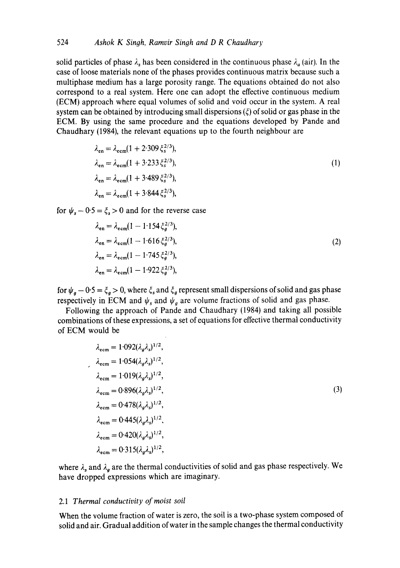solid particles of phase  $\lambda_s$  has been considered in the continuous phase  $\lambda_a$  (air). In the case of loose materials none of the phases provides continuous matrix because such a multiphase medium has a large porosity range. The equations obtained do not also correspond to a real system. Here one can adopt the effective continuous medium (ECM) approach where equal volumes of solid and void occur in the system. A real system can be obtained by introducing small dispersions  $(\xi)$  of solid or gas phase in the ECM. By using the same procedure and the equations developed by Pande and Chaudhary (1984), the relevant equations up to the fourth neighbour are

$$
\lambda_{en} = \lambda_{ecm} (1 + 2.309 \xi_s^{2/3}),
$$
  
\n
$$
\lambda_{en} = \lambda_{ecm} (1 + 3.233 \xi_s^{2/3}),
$$
  
\n
$$
\lambda_{en} = \lambda_{ecm} (1 + 3.489 \xi_s^{2/3}),
$$
  
\n
$$
\lambda_{en} = \lambda_{ecm} (1 + 3.844 \xi_s^{2/3}),
$$
\n(1)

for  $\psi_s - 0.5 = \xi_s > 0$  and for the reverse case

$$
\lambda_{en} = \lambda_{ecm} (1 - 1.154 \xi_g^{2/3}),
$$
  
\n
$$
\lambda_{en} = \lambda_{ecm} (1 - 1.616 \xi_g^{2/3}),
$$
  
\n
$$
\lambda_{en} = \lambda_{ecm} (1 - 1.745 \xi_g^{2/3}),
$$
  
\n
$$
\lambda_{en} = \lambda_{ecm} (1 - 1.922 \xi_g^{2/3}),
$$
\n(2)

for  $\psi_g - 0.5 = \xi_g > 0$ , where  $\xi_s$  and  $\xi_g$  represent small dispersions of solid and gas phase respectively in ECM and  $\psi_s$  and  $\psi_q$  are volume fractions of solid and gas phase.

Following the approach of Pande and Chaudhary (1984) and taking all possible combinations of these expressions, a set of equations for effective thermal conductivity of ECM would be

$$
\lambda_{\text{ecm}} = 1.092(\lambda_g \lambda_s)^{1/2},
$$
\n
$$
\lambda_{\text{ecm}} = 1.054(\lambda_g \lambda_s)^{1/2},
$$
\n
$$
\lambda_{\text{ecm}} = 1.019(\lambda_g \lambda_s)^{1/2},
$$
\n
$$
\lambda_{\text{ecm}} = 0.896(\lambda_g \lambda_s)^{1/2},
$$
\n
$$
\lambda_{\text{ecm}} = 0.478(\lambda_g \lambda_s)^{1/2},
$$
\n
$$
\lambda_{\text{ecm}} = 0.445(\lambda_g \lambda_s)^{1/2},
$$
\n
$$
\lambda_{\text{ecm}} = 0.420(\lambda_g \lambda_s)^{1/2},
$$
\n
$$
\lambda_{\text{ecm}} = 0.315(\lambda_g \lambda_s)^{1/2},
$$

where  $\lambda_s$  and  $\lambda_g$  are the thermal conductivities of solid and gas phase respectively. We have dropped expressions which are imaginary.

## 2.1 *Thermal conductivity of moist soil*

When the volume fraction of water is zero, the soil is a two-phase system composed of solid and air. Gradual addition of water in the sample changes the thermal conductivity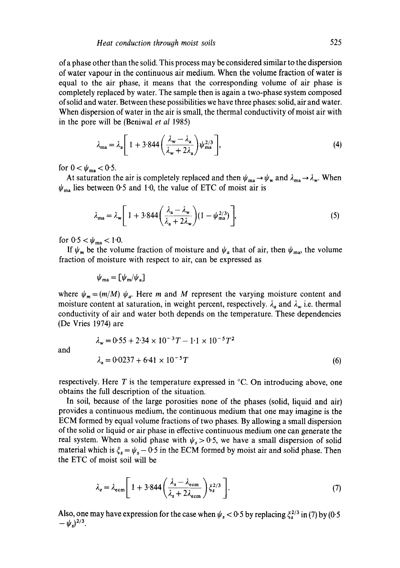of a phase other than the solid. This process may be considered similar to'the dispersion of water vapour in the continuous air medium. When the volume fraction of water is equal to the air phase, it means that the corresponding volume of air phase is completely replaced by water. The sample then is again a two-phase system composed of solid and water. Between these possibilities we have three phases: solid, air and water. When dispersion of water in the air is small, the thermal conductivity of moist air with in the pore will be (Beniwal *et al* 1985)

$$
\lambda_{\text{ma}} = \lambda_{\text{a}} \left[ 1 + 3.844 \left( \frac{\lambda_{\text{w}} - \lambda_{\text{a}}}{\lambda_{\text{w}} + 2\lambda_{\text{a}}} \right) \psi_{\text{ma}}^{2/3} \right],\tag{4}
$$

for  $0 < \psi_{\text{ma}} < 0.5$ .

At saturation the air is completely replaced and then  $\psi_{ma} \to \psi_w$  and  $\lambda_{ma} \to \lambda_w$ . When  $\psi_{\rm ma}$  lies between 0.5 and 1.0, the value of ETC of moist air is

$$
\lambda_{\text{ma}} = \lambda_{\text{w}} \left[ 1 + 3.844 \left( \frac{\lambda_{\text{a}} - \lambda_{\text{w}}}{\lambda_{\text{a}} + 2\lambda_{\text{w}}} \right) (1 - \psi_{\text{ma}}^{2/3}) \right],\tag{5}
$$

for  $0.5 < \psi_{\text{ma}} < 1.0$ .

If  $\psi_m$  be the volume fraction of moisture and  $\psi_a$  that of air, then  $\psi_{ma}$ , the volume fraction of moisture with respect to air, can be expressed as

$$
\psi_{\rm ma} = \llbracket \psi_{\rm m}/\psi_{\rm a} \rrbracket
$$

where  $\psi_m = (m/M) \psi_a$ . Here m and M represent the varying moisture content and moisture content at saturation, in weight percent, respectively.  $\lambda_a$  and  $\lambda_w$  i.e. thermal conductivity of air and water both depends on the temperature. These dependencies (De Vries 1974) are

and

$$
\lambda_{\rm w} = 0.55 + 2.34 \times 10^{-3} T - 1.1 \times 10^{-5} T^2
$$
  
\n
$$
\lambda_{\rm a} = 0.0237 + 6.41 \times 10^{-5} T
$$
 (6)

respectively. Here T is the temperature expressed in  $\degree$ C. On introducing above, one obtains the full description of the situation.

In soil, because of the large porosities none of the phases (solid, liquid and air) provides a continuous medium, the continuous medium that one may imagine is the ECM formed by equal volume fractions of two phases. By allowing a small dispersion of the solid or liquid or air phase in effective continuous medium one can generate the real system. When a solid phase with  $\psi_s > 0.5$ , we have a small dispersion of solid material which is  $\xi_s = \psi_s - 0.5$  in the ECM formed by moist air and solid phase. Then the ETC of moist soil will be

$$
\lambda_e = \lambda_{\text{ecm}} \left[ 1 + 3.844 \left( \frac{\lambda_s - \lambda_{\text{ecm}}}{\lambda_s + 2\lambda_{\text{ecm}}} \right) \xi_s^{2/3} \right]. \tag{7}
$$

Also, one may have expression for the case when  $\psi_s < 0.5$  by replacing  $\xi_s^{2/3}$  in (7) by (0.5  $-\psi_s$ )<sup>2/3</sup>.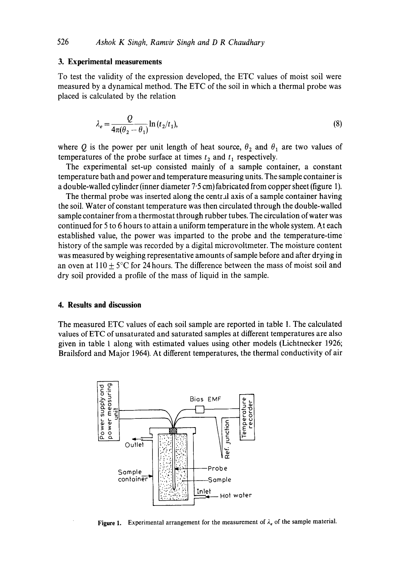## **3. Experimental measurements**

To test the validity of the expression developed, the ETC values of moist soil were measured by a dynamical method. The ETC of the soil in which a thermal probe was placed is calculated by the relation

$$
\lambda_e = \frac{Q}{4\pi(\theta_2 - \theta_1)} \ln(t_2/t_1),\tag{8}
$$

where Q is the power per unit length of heat source,  $\theta_2$  and  $\theta_1$  are two values of temperatures of the probe surface at times  $t_2$  and  $t_1$  respectively.

The experimental set-up consisted mainly of a sample container, a constant temperature bath and power and temperature measuring units. The sample container is a double-walled cylinder (inner diameter 7"5 cm) fabricated from copper sheet (figure 1).

The thermal probe was inserted along the central axis of a sample container having the soil. Water of constant temperature was then circulated through the double-walled sample container from a thermostat through rubber tubes. The circulation of water was continued for 5 to 6 hours to attain a uniform temperature in the whole system. At each established value, the power was imparted to the probe and the temperature-time ~ history of the sample was recorded by a digital microvoltmeter. The moisture content was measured by weighing representative amounts of sample before and after drying in an oven at  $110 + 5^{\circ}$ C for 24 hours. The difference between the mass of moist soil and dry soil provided a profile of the mass of liquid in the sample.

#### **4. Results and discussion**

The measured ETC values of each soil sample are reported in table 1. The calculated values of ETC of unsaturated and saturated samples at different temperatures are also given in table 1 along with estimated values using other models (Lichtnecker 1926; Brailsford and Major 1964). At different temperatures, the thermal conductivity of air



**Figure 1.** Experimental arrangement for the measurement of  $\lambda_e$  of the sample material.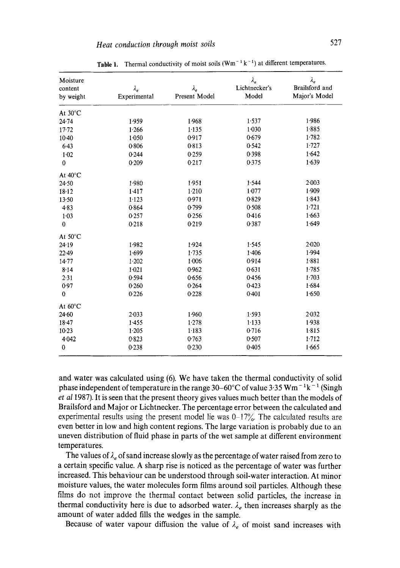| Moisture<br>content<br>by weight | $\lambda_e$<br>Experimental | $\lambda_e$<br>Present Model | $\lambda_e$<br>Lichtnecker's<br>Model | $\lambda_e$<br>Brailsford and<br>Major's Model |
|----------------------------------|-----------------------------|------------------------------|---------------------------------------|------------------------------------------------|
| At 30°C                          |                             |                              |                                       |                                                |
| 24.74                            | 1.959                       | 1.968                        | 1.537                                 | 1.986                                          |
| $17 - 72$                        | 1.266                       | 1.135                        | 1.030                                 | 1.885                                          |
| $10-40$                          | 1.050                       | 0.917                        | 0.679                                 | 1.782                                          |
| 6.43                             | 0.806                       | 0.813                        | 0.542                                 | 1.727                                          |
| 1.02                             | 0.244                       | 0.259                        | 0.398                                 | 1.642                                          |
| $\mathbf 0$                      | 0.209                       | 0.217                        | 0.375                                 | 1.639                                          |
| At $40^{\circ}$ C                |                             |                              |                                       |                                                |
| 24.50                            | 1.980                       | 1.951                        | 1.544                                 | 2.003                                          |
| 18.12                            | 1.417                       | 1.210                        | 1.077                                 | 1.909                                          |
| 13.50                            | 1.123                       | 0.971                        | 0.829                                 | 1.843                                          |
| 4.83                             | 0.864                       | 0.799                        | 0.508                                 | 1.721                                          |
| $1 - 03$                         | 0257                        | 0.256                        | 0.416                                 | 1.663                                          |
| $\bf{0}$                         | 0.218                       | 0.219                        | 0.387                                 | 1.649                                          |
| At $50^{\circ}$ C                |                             |                              |                                       |                                                |
| 24.19                            | 1.982                       | 1.924                        | 1.545                                 | 2.020                                          |
| 22.49                            | 1.699                       | 1.735                        | 1.406                                 | 1.994                                          |
| $14 - 77$                        | 1.202                       | 1.006                        | 0.914                                 | $1 - 881$                                      |
| 8.14                             | 1.021                       | 0.962                        | 0.631                                 | 1.785                                          |
| 2.31                             | 0.594                       | 0.656                        | 0.456                                 | 1.703                                          |
| 0.97                             | 0.260                       | 0.264                        | 0.423                                 | 1.684                                          |
| $\bf{0}$                         | 0.226                       | 0.228                        | 0.401                                 | 1.650                                          |
| At 60°C                          |                             |                              |                                       |                                                |
| 24.60                            | $2 - 033$                   | 1.960                        | 1.593                                 | 2.032                                          |
| 18.47                            | 1.455                       | 1.278                        | 1.133                                 | 1.938                                          |
| $10-23$                          | 1.205                       | 1.183                        | 0.716                                 | 1.815                                          |
| 4.042                            | 0.823                       | 0.763                        | 0.507                                 | 1.712                                          |
| 0                                | 0.238                       | 0.230                        | 0.405                                 | 1.665                                          |

**Table 1.** Thermal conductivity of moist soils  $(Wm^{-1}k^{-1})$  at different temperatures.

and water was calculated using (6). We have taken the thermal conductivity of solid phase independent of temperature in the range 30–60°C of value 3.35 Wm<sup>-1</sup>k<sup>-1</sup> (Singh *et a11987).* It is seen that the present theory gives values much better than the models of Brailsford and Major or Lichtnecker. The percentage error between the calculated and experimental results using the present model lie was  $0-17\%$ . The calculated results are even better in low and high content regions. The large variation is probably due to an uneven distribution of fluid phase in parts of the wet sample at different environment temperatures.

The values of  $\lambda_e$  of sand increase slowly as the percentage of water raised from zero to a certain specific value. A sharp rise is noticed as the percentage of water was further increased. This behaviour can be understood through soil-water interaction. At minor moisture values, the water molecules form films around soil particles. Although these films do not improve the thermal contact between solid particles, the increase in thermal conductivity here is due to adsorbed water.  $\lambda_e$  then increases sharply as the amount of water added fills the wedges in the sample.

Because of water vapour diffusion the value of  $\lambda_e$  of moist sand increases with